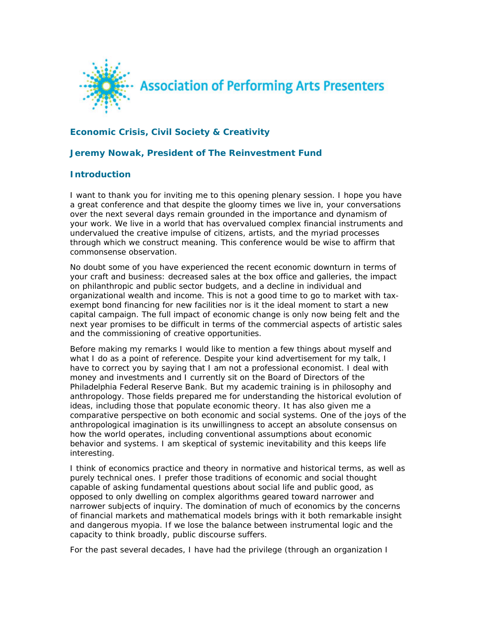

# **Economic Crisis, Civil Society & Creativity**

### **Jeremy Nowak, President of The Reinvestment Fund**

### **Introduction**

I want to thank you for inviting me to this opening plenary session. I hope you have a great conference and that despite the gloomy times we live in, your conversations over the next several days remain grounded in the importance and dynamism of your work. We live in a world that has overvalued complex financial instruments and undervalued the creative impulse of citizens, artists, and the myriad processes through which we construct meaning. This conference would be wise to affirm that commonsense observation.

No doubt some of you have experienced the recent economic downturn in terms of your craft and business: decreased sales at the box office and galleries, the impact on philanthropic and public sector budgets, and a decline in individual and organizational wealth and income. This is not a good time to go to market with taxexempt bond financing for new facilities nor is it the ideal moment to start a new capital campaign. The full impact of economic change is only now being felt and the next year promises to be difficult in terms of the commercial aspects of artistic sales and the commissioning of creative opportunities.

Before making my remarks I would like to mention a few things about myself and what I do as a point of reference. Despite your kind advertisement for my talk, I have to correct you by saying that I am not a professional economist. I deal with money and investments and I currently sit on the Board of Directors of the Philadelphia Federal Reserve Bank. But my academic training is in philosophy and anthropology. Those fields prepared me for understanding the historical evolution of ideas, including those that populate economic theory. It has also given me a comparative perspective on both economic and social systems. One of the joys of the anthropological imagination is its unwillingness to accept an absolute consensus on how the world operates, including conventional assumptions about economic behavior and systems. I am skeptical of systemic inevitability and this keeps life interesting.

I think of economics practice and theory in normative and historical terms, as well as purely technical ones. I prefer those traditions of economic and social thought capable of asking fundamental questions about social life and public good, as opposed to only dwelling on complex algorithms geared toward narrower and narrower subjects of inquiry. The domination of much of economics by the concerns of financial markets and mathematical models brings with it both remarkable insight and dangerous myopia. If we lose the balance between instrumental logic and the capacity to think broadly, public discourse suffers.

For the past several decades, I have had the privilege (through an organization I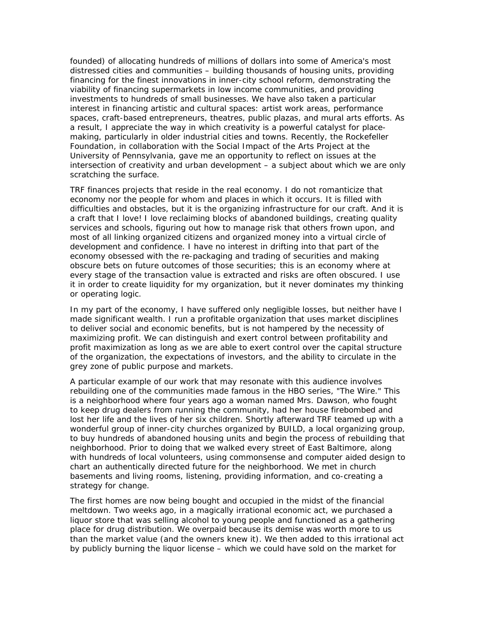founded) of allocating hundreds of millions of dollars into some of America's most distressed cities and communities – building thousands of housing units, providing financing for the finest innovations in inner-city school reform, demonstrating the viability of financing supermarkets in low income communities, and providing investments to hundreds of small businesses. We have also taken a particular interest in financing artistic and cultural spaces: artist work areas, performance spaces, craft-based entrepreneurs, theatres, public plazas, and mural arts efforts. As a result, I appreciate the way in which creativity is a powerful catalyst for placemaking, particularly in older industrial cities and towns. Recently, the Rockefeller Foundation, in collaboration with the Social Impact of the Arts Project at the University of Pennsylvania, gave me an opportunity to reflect on issues at the intersection of creativity and urban development – a subject about which we are only scratching the surface.

TRF finances projects that reside in the real economy. I do not romanticize that economy nor the people for whom and places in which it occurs. It is filled with difficulties and obstacles, but it is the organizing infrastructure for our craft. And it is a craft that I love! I love reclaiming blocks of abandoned buildings, creating quality services and schools, figuring out how to manage risk that others frown upon, and most of all linking organized citizens and organized money into a virtual circle of development and confidence. I have no interest in drifting into that part of the economy obsessed with the re-packaging and trading of securities and making obscure bets on future outcomes of those securities; this is an economy where at every stage of the transaction value is extracted and risks are often obscured. I use it in order to create liquidity for my organization, but it never dominates my thinking or operating logic.

In my part of the economy, I have suffered only negligible losses, but neither have I made significant wealth. I run a profitable organization that uses market disciplines to deliver social and economic benefits, but is not hampered by the necessity of maximizing profit. We can distinguish and exert control between profitability and profit maximization as long as we are able to exert control over the capital structure of the organization, the expectations of investors, and the ability to circulate in the grey zone of public purpose and markets.

A particular example of our work that may resonate with this audience involves rebuilding one of the communities made famous in the HBO series, "The Wire." This is a neighborhood where four years ago a woman named Mrs. Dawson, who fought to keep drug dealers from running the community, had her house firebombed and lost her life and the lives of her six children. Shortly afterward TRF teamed up with a wonderful group of inner-city churches organized by BUILD, a local organizing group, to buy hundreds of abandoned housing units and begin the process of rebuilding that neighborhood. Prior to doing that we walked every street of East Baltimore, along with hundreds of local volunteers, using commonsense and computer aided design to chart an authentically directed future for the neighborhood. We met in church basements and living rooms, listening, providing information, and co-creating a strategy for change.

The first homes are now being bought and occupied in the midst of the financial meltdown. Two weeks ago, in a magically irrational economic act, we purchased a liquor store that was selling alcohol to young people and functioned as a gathering place for drug distribution. We overpaid because its demise was worth more to us than the market value (and the owners knew it). We then added to this irrational act by publicly burning the liquor license – which we could have sold on the market for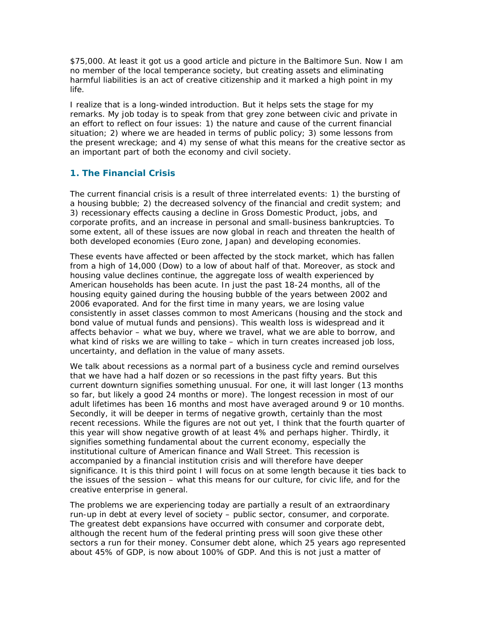\$75,000. At least it got us a good article and picture in the Baltimore Sun. Now I am no member of the local temperance society, but creating assets and eliminating harmful liabilities is an act of creative citizenship and it marked a high point in my life.

I realize that is a long-winded introduction. But it helps sets the stage for my remarks. My job today is to speak from that grey zone between civic and private in an effort to reflect on four issues: 1) the nature and cause of the current financial situation; 2) where we are headed in terms of public policy; 3) some lessons from the present wreckage; and 4) my sense of what this means for the creative sector as an important part of both the economy and civil society.

# **1. The Financial Crisis**

The current financial crisis is a result of three interrelated events: 1) the bursting of a housing bubble; 2) the decreased solvency of the financial and credit system; and 3) recessionary effects causing a decline in Gross Domestic Product, jobs, and corporate profits, and an increase in personal and small-business bankruptcies. To some extent, all of these issues are now global in reach and threaten the health of both developed economies (Euro zone, Japan) and developing economies.

These events have affected or been affected by the stock market, which has fallen from a high of 14,000 (Dow) to a low of about half of that. Moreover, as stock and housing value declines continue, the aggregate loss of wealth experienced by American households has been acute. In just the past 18-24 months, all of the housing equity gained during the housing bubble of the years between 2002 and 2006 evaporated. And for the first time in many years, we are losing value consistently in asset classes common to most Americans (housing and the stock and bond value of mutual funds and pensions). This wealth loss is widespread and it affects behavior – what we buy, where we travel, what we are able to borrow, and what kind of risks we are willing to take – which in turn creates increased job loss, uncertainty, and deflation in the value of many assets.

We talk about recessions as a normal part of a business cycle and remind ourselves that we have had a half dozen or so recessions in the past fifty years. But this current downturn signifies something unusual. For one, it will last longer (13 months so far, but likely a good 24 months or more). The longest recession in most of our adult lifetimes has been 16 months and most have averaged around 9 or 10 months. Secondly, it will be deeper in terms of negative growth, certainly than the most recent recessions. While the figures are not out yet, I think that the fourth quarter of this year will show negative growth of at least 4% and perhaps higher. Thirdly, it signifies something fundamental about the current economy, especially the institutional culture of American finance and Wall Street. This recession is accompanied by a financial institution crisis and will therefore have deeper significance. It is this third point I will focus on at some length because it ties back to the issues of the session – what this means for our culture, for civic life, and for the creative enterprise in general.

The problems we are experiencing today are partially a result of an extraordinary run-up in debt at every level of society – public sector, consumer, and corporate. The greatest debt expansions have occurred with consumer and corporate debt, although the recent hum of the federal printing press will soon give these other sectors a run for their money. Consumer debt alone, which 25 years ago represented about 45% of GDP, is now about 100% of GDP. And this is not just a matter of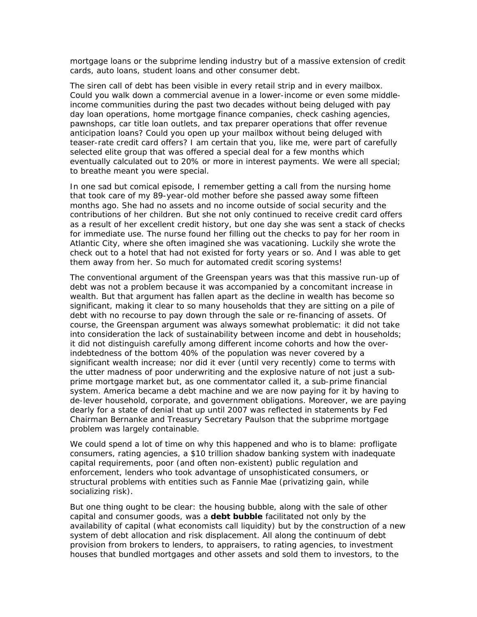mortgage loans or the subprime lending industry but of a massive extension of credit cards, auto loans, student loans and other consumer debt.

The siren call of debt has been visible in every retail strip and in every mailbox. Could you walk down a commercial avenue in a lower-income or even some middleincome communities during the past two decades without being deluged with pay day loan operations, home mortgage finance companies, check cashing agencies, pawnshops, car title loan outlets, and tax preparer operations that offer revenue anticipation loans? Could you open up your mailbox without being deluged with teaser-rate credit card offers? I am certain that you, like me, were part of carefully selected elite group that was offered a special deal for a few months which eventually calculated out to 20% or more in interest payments. We were all special; to breathe meant you were special.

In one sad but comical episode, I remember getting a call from the nursing home that took care of my 89-year-old mother before she passed away some fifteen months ago. She had no assets and no income outside of social security and the contributions of her children. But she not only continued to receive credit card offers as a result of her excellent credit history, but one day she was sent a stack of checks for immediate use. The nurse found her filling out the checks to pay for her room in Atlantic City, where she often imagined she was vacationing. Luckily she wrote the check out to a hotel that had not existed for forty years or so. And I was able to get them away from her. So much for automated credit scoring systems!

The conventional argument of the Greenspan years was that this massive run-up of debt was not a problem because it was accompanied by a concomitant increase in wealth. But that argument has fallen apart as the decline in wealth has become so significant, making it clear to so many households that they are sitting on a pile of debt with no recourse to pay down through the sale or re-financing of assets. Of course, the Greenspan argument was always somewhat problematic: it did not take into consideration the lack of sustainability between income and debt in households; it did not distinguish carefully among different income cohorts and how the overindebtedness of the bottom 40% of the population was never covered by a significant wealth increase; nor did it ever (until very recently) come to terms with the utter madness of poor underwriting and the explosive nature of not just a subprime mortgage market but, as one commentator called it, a sub-prime financial system. America became a debt machine and we are now paying for it by having to de-lever household, corporate, and government obligations. Moreover, we are paying dearly for a state of denial that up until 2007 was reflected in statements by Fed Chairman Bernanke and Treasury Secretary Paulson that the subprime mortgage problem was largely containable.

We could spend a lot of time on why this happened and who is to blame: profligate consumers, rating agencies, a \$10 trillion shadow banking system with inadequate capital requirements, poor (and often non-existent) public regulation and enforcement, lenders who took advantage of unsophisticated consumers, or structural problems with entities such as Fannie Mae (privatizing gain, while socializing risk).

But one thing ought to be clear: the housing bubble, along with the sale of other capital and consumer goods, was a *debt bubble* facilitated not only by the availability of capital (what economists call liquidity) but by the construction of a new system of debt allocation and risk displacement. All along the continuum of debt provision from brokers to lenders, to appraisers, to rating agencies, to investment houses that bundled mortgages and other assets and sold them to investors, to the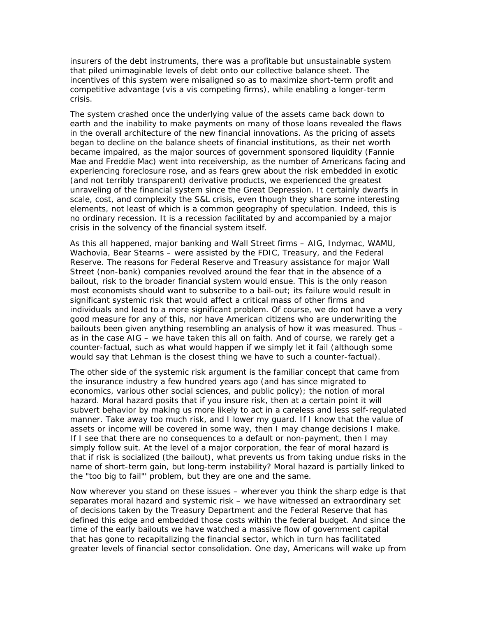insurers of the debt instruments, there was a profitable but unsustainable system that piled unimaginable levels of debt onto our collective balance sheet. The incentives of this system were misaligned so as to maximize short-term profit and competitive advantage (vis a vis competing firms), while enabling a longer-term crisis.

The system crashed once the underlying value of the assets came back down to earth and the inability to make payments on many of those loans revealed the flaws in the overall architecture of the new financial innovations. As the pricing of assets began to decline on the balance sheets of financial institutions, as their net worth became impaired, as the major sources of government sponsored liquidity (Fannie Mae and Freddie Mac) went into receivership, as the number of Americans facing and experiencing foreclosure rose, and as fears grew about the risk embedded in exotic (and not terribly transparent) derivative products, we experienced the greatest unraveling of the financial system since the Great Depression. It certainly dwarfs in scale, cost, and complexity the S&L crisis, even though they share some interesting elements, not least of which is a common geography of speculation. Indeed, this is no ordinary recession. It is a recession facilitated by and accompanied by a major crisis in the solvency of the financial system itself.

As this all happened, major banking and Wall Street firms – AIG, Indymac, WAMU, Wachovia, Bear Stearns – were assisted by the FDIC, Treasury, and the Federal Reserve. The reasons for Federal Reserve and Treasury assistance for major Wall Street (non-bank) companies revolved around the fear that in the absence of a bailout, risk to the broader financial system would ensue. This is the only reason most economists should want to subscribe to a bail-out; its failure would result in significant systemic risk that would affect a critical mass of other firms and individuals and lead to a more significant problem. Of course, we do not have a very good measure for any of this, nor have American citizens who are underwriting the bailouts been given anything resembling an analysis of how it was measured. Thus – as in the case AIG – we have taken this all on faith. And of course, we rarely get a counter-factual, such as what would happen if we simply let it fail (although some would say that Lehman is the closest thing we have to such a counter-factual).

The other side of the systemic risk argument is the familiar concept that came from the insurance industry a few hundred years ago (and has since migrated to economics, various other social sciences, and public policy); the notion of *moral hazard*. Moral hazard posits that if you insure risk, then at a certain point it will subvert behavior by making us more likely to act in a careless and less self-regulated manner. Take away too much risk, and I lower my guard. If I know that the value of assets or income will be covered in some way, then I may change decisions I make. If I see that there are no consequences to a default or non-payment, then I may simply follow suit. At the level of a major corporation, the fear of moral hazard is that if risk is socialized (the bailout), what prevents us from taking undue risks in the name of short-term gain, but long-term instability? Moral hazard is partially linked to the "too big to fail"' problem, but they are one and the same.

Now wherever you stand on these issues – wherever you think the sharp edge is that separates moral hazard and systemic risk – we have witnessed an extraordinary set of decisions taken by the Treasury Department and the Federal Reserve that has defined this edge and embedded those costs within the federal budget. And since the time of the early bailouts we have watched a massive flow of government capital that has gone to recapitalizing the financial sector, which in turn has facilitated greater levels of financial sector consolidation. One day, Americans will wake up from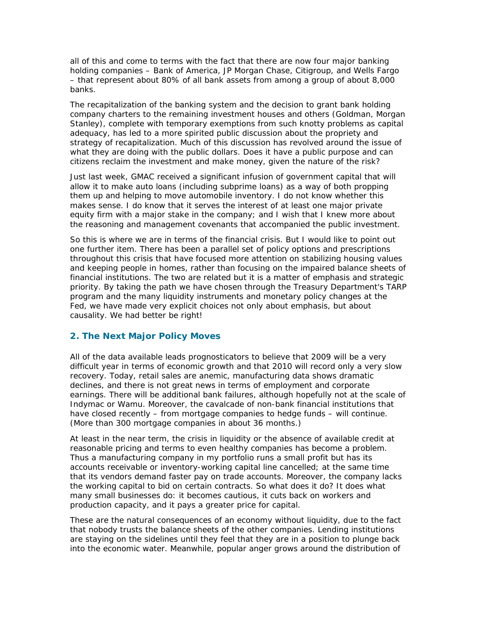all of this and come to terms with the fact that there are now four major banking holding companies – Bank of America, JP Morgan Chase, Citigroup, and Wells Fargo – that represent about 80% of all bank assets from among a group of about 8,000 banks.

The recapitalization of the banking system and the decision to grant bank holding company charters to the remaining investment houses and others (Goldman, Morgan Stanley), complete with temporary exemptions from such knotty problems as capital adequacy, has led to a more spirited public discussion about the propriety and strategy of recapitalization. Much of this discussion has revolved around the issue of what they are doing with the public dollars. Does it have a public purpose and can citizens reclaim the investment and make money, given the nature of the risk?

Just last week, GMAC received a significant infusion of government capital that will allow it to make auto loans (including subprime loans) as a way of both propping them up and helping to move automobile inventory. I do not know whether this makes sense. I do know that it serves the interest of at least one major private equity firm with a major stake in the company; and I wish that I knew more about the reasoning and management covenants that accompanied the public investment.

So this is where we are in terms of the financial crisis. But I would like to point out one further item. There has been a parallel set of policy options and prescriptions throughout this crisis that have focused more attention on stabilizing housing values and keeping people in homes, rather than focusing on the impaired balance sheets of financial institutions. The two are related but it is a matter of emphasis and strategic priority. By taking the path we have chosen through the Treasury Department's TARP program and the many liquidity instruments and monetary policy changes at the Fed, we have made very explicit choices not only about emphasis, but about causality. We had better be right!

## **2. The Next Major Policy Moves**

All of the data available leads prognosticators to believe that 2009 will be a very difficult year in terms of economic growth and that 2010 will record only a very slow recovery. Today, retail sales are anemic, manufacturing data shows dramatic declines, and there is not great news in terms of employment and corporate earnings. There will be additional bank failures, although hopefully not at the scale of Indymac or Wamu. Moreover, the cavalcade of non-bank financial institutions that have closed recently – from mortgage companies to hedge funds – will continue. (More than 300 mortgage companies in about 36 months.)

At least in the near term, the crisis in liquidity or the absence of available credit at reasonable pricing and terms to even healthy companies has become a problem. Thus a manufacturing company in my portfolio runs a small profit but has its accounts receivable or inventory-working capital line cancelled; at the same time that its vendors demand faster pay on trade accounts. Moreover, the company lacks the working capital to bid on certain contracts. So what does it do? It does what many small businesses do: it becomes cautious, it cuts back on workers and production capacity, and it pays a greater price for capital.

These are the natural consequences of an economy without liquidity, due to the fact that nobody trusts the balance sheets of the other companies. Lending institutions are staying on the sidelines until they feel that they are in a position to plunge back into the economic water. Meanwhile, popular anger grows around the distribution of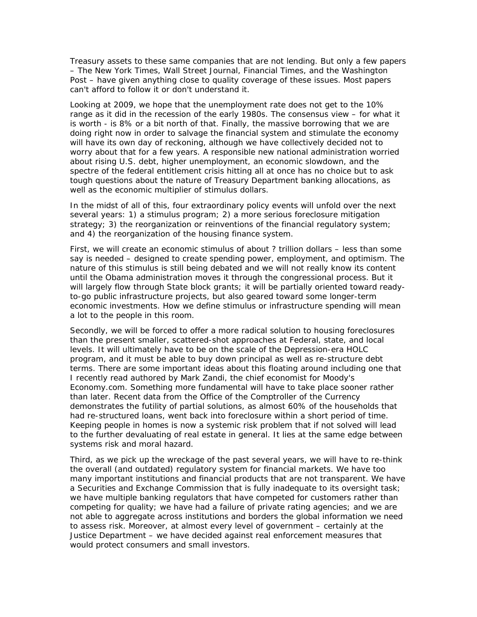Treasury assets to these same companies that are not lending. But only a few papers – The New York Times, Wall Street Journal, Financial Times, and the Washington Post – have given anything close to quality coverage of these issues. Most papers can't afford to follow it or don't understand it.

Looking at 2009, we hope that the unemployment rate does not get to the 10% range as it did in the recession of the early 1980s. The consensus view – for what it is worth - is 8% or a bit north of that. Finally, the massive borrowing that we are doing right now in order to salvage the financial system and stimulate the economy will have its own day of reckoning, although we have collectively decided not to worry about that for a few years. A responsible new national administration worried about rising U.S. debt, higher unemployment, an economic slowdown, and the spectre of the federal entitlement crisis hitting all at once has no choice but to ask tough questions about the nature of Treasury Department banking allocations, as well as the economic multiplier of stimulus dollars.

In the midst of all of this, four extraordinary policy events will unfold over the next several years: 1) a stimulus program; 2) a more serious foreclosure mitigation strategy; 3) the reorganization or reinventions of the financial regulatory system; and 4) the reorganization of the housing finance system.

First, we will create an economic stimulus of about ? trillion dollars – less than some say is needed – designed to create spending power, employment, and optimism. The nature of this stimulus is still being debated and we will not really know its content until the Obama administration moves it through the congressional process. But it will largely flow through State block grants; it will be partially oriented toward *readyto-go* public infrastructure projects, but also geared toward some longer-term economic investments. How we define stimulus or infrastructure spending will mean a lot to the people in this room.

Secondly, we will be forced to offer a more radical solution to housing foreclosures than the present smaller, scattered-shot approaches at Federal, state, and local levels. It will ultimately have to be on the scale of the Depression-era HOLC program, and it must be able to buy down principal as well as re-structure debt terms. There are some important ideas about this floating around including one that I recently read authored by Mark Zandi, the chief economist for Moody's Economy.com. Something more fundamental will have to take place sooner rather than later. Recent data from the Office of the Comptroller of the Currency demonstrates the futility of partial solutions, as almost 60% of the households that had re-structured loans, went back into foreclosure within a short period of time. Keeping people in homes is now a systemic risk problem that if not solved will lead to the further devaluating of real estate in general. It lies at the same edge between systems risk and moral hazard.

Third, as we pick up the wreckage of the past several years, we will have to re-think the overall (and outdated) regulatory system for financial markets. We have too many important institutions and financial products that are not transparent. We have a Securities and Exchange Commission that is fully inadequate to its oversight task; we have multiple banking regulators that have competed for customers rather than competing for quality; we have had a failure of private rating agencies; and we are not able to aggregate across institutions and borders the global information we need to assess risk. Moreover, at almost every level of government – certainly at the Justice Department – we have decided against real enforcement measures that would protect consumers and small investors.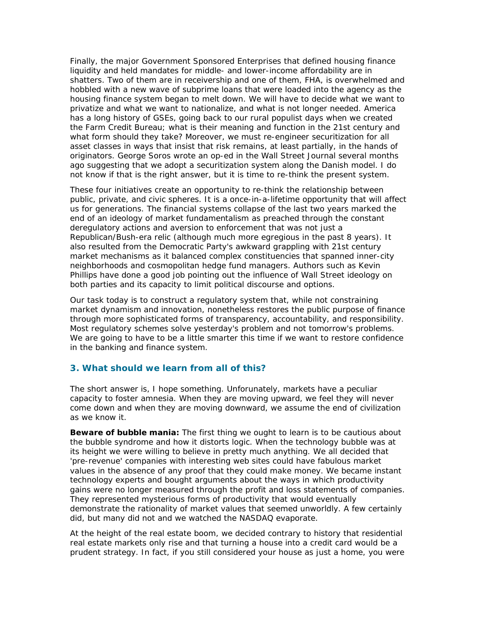Finally, the major Government Sponsored Enterprises that defined housing finance liquidity and held mandates for middle- and lower-income affordability are in shatters. Two of them are in receivership and one of them, FHA, is overwhelmed and hobbled with a new wave of subprime loans that were loaded into the agency as the housing finance system began to melt down. We will have to decide what we want to privatize and what we want to nationalize, and what is not longer needed. America has a long history of GSEs, going back to our rural populist days when we created the Farm Credit Bureau; what is their meaning and function in the 21st century and what form should they take? Moreover, we must re-engineer securitization for all asset classes in ways that insist that risk remains, at least partially, in the hands of originators. George Soros wrote an op-ed in the Wall Street Journal several months ago suggesting that we adopt a securitization system along the Danish model. I do not know if that is the right answer, but it is time to re-think the present system.

These four initiatives create an opportunity to re-think the relationship between public, private, and civic spheres. It is a once-in-a-lifetime opportunity that will affect us for generations. The financial systems collapse of the last two years marked the end of an ideology of market fundamentalism as preached through the constant deregulatory actions and aversion to enforcement that was not just a Republican/Bush-era relic (although much more egregious in the past 8 years). It also resulted from the Democratic Party's awkward grappling with 21st century market mechanisms as it balanced complex constituencies that spanned inner-city neighborhoods and cosmopolitan hedge fund managers. Authors such as Kevin Phillips have done a good job pointing out the influence of Wall Street ideology on both parties and its capacity to limit political discourse and options.

Our task today is to construct a regulatory system that, while not constraining market dynamism and innovation, nonetheless restores the public purpose of finance through more sophisticated forms of transparency, accountability, and responsibility. Most regulatory schemes solve yesterday's problem and not tomorrow's problems. We are going to have to be a little smarter this time if we want to restore confidence in the banking and finance system.

## **3. What should we learn from all of this?**

The short answer is, I hope something. Unforunately, markets have a peculiar capacity to foster amnesia. When they are moving upward, we feel they will never come down and when they are moving downward, we assume the end of civilization as we know it.

**Beware of bubble mania:** The first thing we ought to learn is to be cautious about the bubble syndrome and how it distorts logic. When the technology bubble was at its height we were willing to believe in pretty much anything. We all decided that 'pre-revenue' companies with interesting web sites could have fabulous market values in the absence of any proof that they could make money. We became instant technology experts and bought arguments about the ways in which productivity gains were no longer measured through the profit and loss statements of companies. They represented mysterious forms of productivity that would eventually demonstrate the rationality of market values that seemed unworldly. A few certainly did, but many did not and we watched the NASDAQ evaporate.

At the height of the real estate boom, we decided contrary to history that residential real estate markets only rise and that turning a house into a credit card would be a prudent strategy. In fact, if you still considered your house as just a home, you were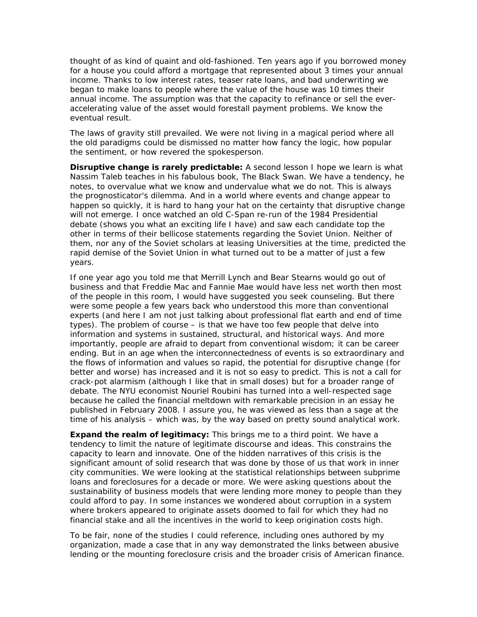thought of as kind of quaint and old-fashioned. Ten years ago if you borrowed money for a house you could afford a mortgage that represented about 3 times your annual income. Thanks to low interest rates, teaser rate loans, and bad underwriting we began to make loans to people where the value of the house was 10 times their annual income. The assumption was that the capacity to refinance or sell the everaccelerating value of the asset would forestall payment problems. We know the eventual result.

The laws of gravity still prevailed. We were not living in a magical period where all the old paradigms could be dismissed no matter how fancy the logic, how popular the sentiment, or how revered the spokesperson.

**Disruptive change is rarely predictable:** A second lesson I hope we learn is what Nassim Taleb teaches in his fabulous book, The Black Swan. We have a tendency, he notes, to overvalue what we know and undervalue what we do not. This is always the prognosticator's dilemma. And in a world where events and change appear to happen so quickly, it is hard to hang your hat on the certainty that disruptive change will not emerge. I once watched an old C-Span re-run of the 1984 Presidential debate (shows you what an exciting life I have) and saw each candidate top the other in terms of their bellicose statements regarding the Soviet Union. Neither of them, nor any of the Soviet scholars at leasing Universities at the time, predicted the rapid demise of the Soviet Union in what turned out to be a matter of just a few years.

If one year ago you told me that Merrill Lynch and Bear Stearns would go out of business and that Freddie Mac and Fannie Mae would have less net worth then most of the people in this room, I would have suggested you seek counseling. But there were some people a few years back who understood this more than conventional experts (and here I am not just talking about professional flat earth and end of time types). The problem of course – is that we have too few people that delve into information and systems in sustained, structural, and historical ways. And more importantly, people are afraid to depart from conventional wisdom; it can be career ending. But in an age when the interconnectedness of events is so extraordinary and the flows of information and values so rapid, the potential for disruptive change (for better and worse) has increased and it is not so easy to predict. This is not a call for crack-pot alarmism (although I like that in small doses) but for a broader range of debate. The NYU economist Nouriel Roubini has turned into a well-respected sage because he called the financial meltdown with remarkable precision in an essay he published in February 2008. I assure you, he was viewed as less than a sage at the time of his analysis – which was, by the way based on pretty sound analytical work.

**Expand the realm of legitimacy:** This brings me to a third point. We have a tendency to limit the nature of legitimate discourse and ideas. This constrains the capacity to learn and innovate. One of the hidden narratives of this crisis is the significant amount of solid research that was done by those of us that work in inner city communities. We were looking at the statistical relationships between subprime loans and foreclosures for a decade or more. We were asking questions about the sustainability of business models that were lending more money to people than they could afford to pay. In some instances we wondered about corruption in a system where brokers appeared to originate assets doomed to fail for which they had no financial stake and all the incentives in the world to keep origination costs high.

To be fair, none of the studies I could reference, including ones authored by my organization, made a case that in any way demonstrated the links between abusive lending or the mounting foreclosure crisis and the broader crisis of American finance.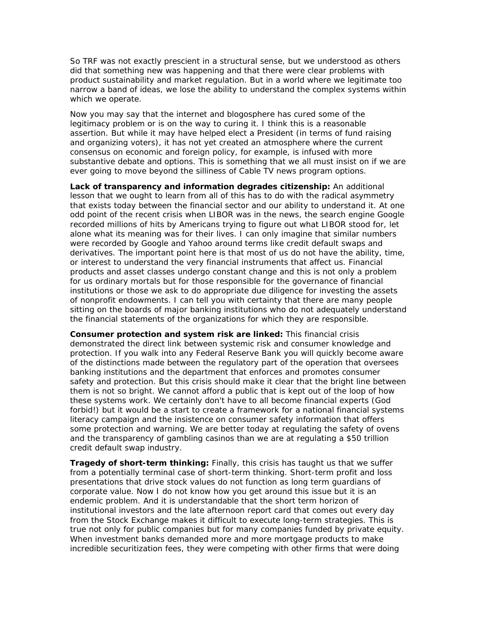So TRF was not exactly prescient in a structural sense, but we understood as others did that something new was happening and that there were clear problems with product sustainability and market regulation. But in a world where we legitimate too narrow a band of ideas, we lose the ability to understand the complex systems within which we operate.

Now you may say that the internet and blogosphere has cured some of the legitimacy problem or is on the way to curing it. I think this is a reasonable assertion. But while it may have helped elect a President (in terms of fund raising and organizing voters), it has not yet created an atmosphere where the current consensus on economic and foreign policy, for example, is infused with more substantive debate and options. This is something that we all must insist on if we are ever going to move beyond the silliness of Cable TV news program options.

**Lack of transparency and information degrades citizenship:** An additional lesson that we ought to learn from all of this has to do with the radical asymmetry that exists today between the financial sector and our ability to understand it. At one odd point of the recent crisis when LIBOR was in the news, the search engine Google recorded millions of hits by Americans trying to figure out what LIBOR stood for, let alone what its meaning was for their lives. I can only imagine that similar numbers were recorded by Google and Yahoo around terms like credit default swaps and derivatives. The important point here is that most of us do not have the ability, time, or interest to understand the very financial instruments that affect us. Financial products and asset classes undergo constant change and this is not only a problem for us ordinary mortals but for those responsible for the governance of financial institutions or those we ask to do appropriate due diligence for investing the assets of nonprofit endowments. I can tell you with certainty that there are many people sitting on the boards of major banking institutions who do not adequately understand the financial statements of the organizations for which they are responsible.

**Consumer protection and system risk are linked:** This financial crisis demonstrated the direct link between systemic risk and consumer knowledge and protection. If you walk into any Federal Reserve Bank you will quickly become aware of the distinctions made between the regulatory part of the operation that oversees banking institutions and the department that enforces and promotes consumer safety and protection. But this crisis should make it clear that the bright line between them is not so bright. We cannot afford a public that is kept out of the loop of how these systems work. We certainly don't have to all become financial experts (God forbid!) but it would be a start to create a framework for a national financial systems literacy campaign and the insistence on consumer safety information that offers some protection and warning. We are better today at regulating the safety of ovens and the transparency of gambling casinos than we are at regulating a \$50 trillion credit default swap industry.

**Tragedy of short-term thinking:** Finally, this crisis has taught us that we suffer from a potentially terminal case of short-term thinking. Short-term profit and loss presentations that drive stock values do not function as long term guardians of corporate value. Now I do not know how you get around this issue but it is an endemic problem. And it is understandable that the short term horizon of institutional investors and the late afternoon report card that comes out every day from the Stock Exchange makes it difficult to execute long-term strategies. This is true not only for public companies but for many companies funded by private equity. When investment banks demanded more and more mortgage products to make incredible securitization fees, they were competing with other firms that were doing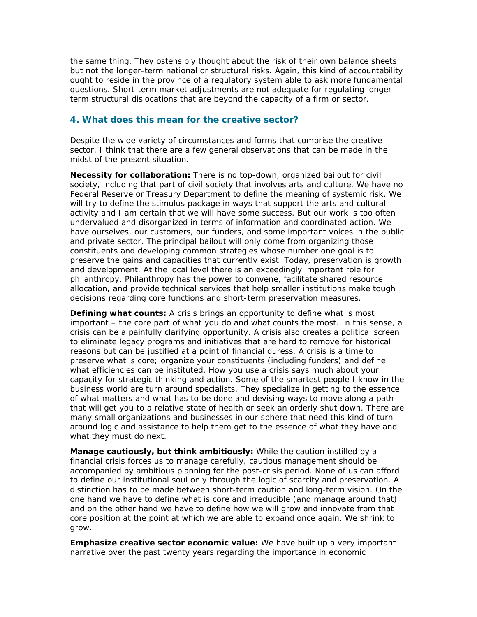the same thing. They ostensibly thought about the risk of their own balance sheets but not the longer-term national or structural risks. Again, this kind of accountability ought to reside in the province of a regulatory system able to ask more fundamental questions. Short-term market adjustments are not adequate for regulating longerterm structural dislocations that are beyond the capacity of a firm or sector.

#### **4. What does this mean for the creative sector?**

Despite the wide variety of circumstances and forms that comprise the creative sector, I think that there are a few general observations that can be made in the midst of the present situation.

**Necessity for collaboration:** There is no top-down, organized bailout for civil society, including that part of civil society that involves arts and culture. We have no Federal Reserve or Treasury Department to define the meaning of systemic risk. We will try to define the stimulus package in ways that support the arts and cultural activity and I am certain that we will have some success. But our work is too often undervalued and disorganized in terms of information and coordinated action. We have ourselves, our customers, our funders, and some important voices in the public and private sector. The principal bailout will only come from organizing those constituents and developing common strategies whose number one goal is to preserve the gains and capacities that currently exist. Today, preservation is growth and development. At the local level there is an exceedingly important role for philanthropy. Philanthropy has the power to convene, facilitate shared resource allocation, and provide technical services that help smaller institutions make tough decisions regarding core functions and short-term preservation measures.

**Defining what counts:** A crisis brings an opportunity to define what is most important – the core part of what you do and what counts the most. In this sense, a crisis can be a painfully clarifying opportunity. A crisis also creates a political screen to eliminate legacy programs and initiatives that are hard to remove for historical reasons but can be justified at a point of financial duress. A crisis is a time to preserve what is core; organize your constituents (including funders) and define what efficiencies can be instituted. How you use a crisis says much about your capacity for strategic thinking and action. Some of the smartest people I know in the business world are *turn around* specialists. They specialize in getting to the essence of what matters and what has to be done and devising ways to move along a path that will get you to a relative state of health or seek an orderly shut down. There are many small organizations and businesses in our sphere that need this kind of turn around logic and assistance to help them get to the essence of what they have and what they must do next.

**Manage cautiously, but think ambitiously:** While the caution instilled by a financial crisis forces us to manage carefully, cautious management should be accompanied by ambitious planning for the post-crisis period. None of us can afford to define our institutional soul only through the logic of scarcity and preservation. A distinction has to be made between short-term caution and long-term vision. On the one hand we have to define what is core and irreducible (and manage around that) and on the other hand we have to define how we will grow and innovate from that core position at the point at which we are able to expand once again. We shrink to grow.

**Emphasize creative sector economic value:** We have built up a very important narrative over the past twenty years regarding the importance in economic